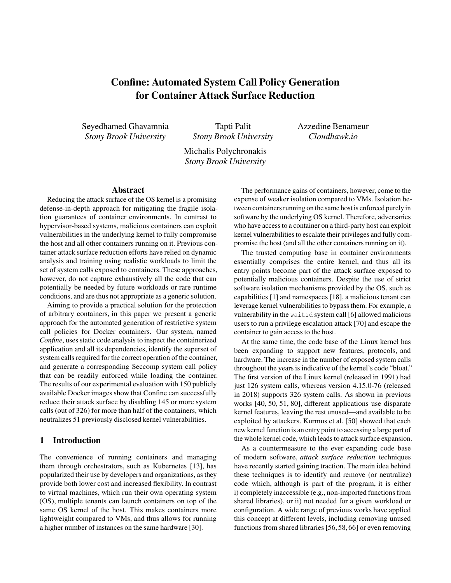# Confine: Automated System Call Policy Generation for Container Attack Surface Reduction

Seyedhamed Ghavamnia *Stony Brook University*

Tapti Palit *Stony Brook University* Azzedine Benameur *Cloudhawk.io*

Michalis Polychronakis *Stony Brook University*

#### Abstract

Reducing the attack surface of the OS kernel is a promising defense-in-depth approach for mitigating the fragile isolation guarantees of container environments. In contrast to hypervisor-based systems, malicious containers can exploit vulnerabilities in the underlying kernel to fully compromise the host and all other containers running on it. Previous container attack surface reduction efforts have relied on dynamic analysis and training using realistic workloads to limit the set of system calls exposed to containers. These approaches, however, do not capture exhaustively all the code that can potentially be needed by future workloads or rare runtime conditions, and are thus not appropriate as a generic solution.

Aiming to provide a practical solution for the protection of arbitrary containers, in this paper we present a generic approach for the automated generation of restrictive system call policies for Docker containers. Our system, named *Confine*, uses static code analysis to inspect the containerized application and all its dependencies, identify the superset of system calls required for the correct operation of the container, and generate a corresponding Seccomp system call policy that can be readily enforced while loading the container. The results of our experimental evaluation with 150 publicly available Docker images show that Confine can successfully reduce their attack surface by disabling 145 or more system calls (out of 326) for more than half of the containers, which neutralizes 51 previously disclosed kernel vulnerabilities.

### 1 Introduction

The convenience of running containers and managing them through orchestrators, such as Kubernetes [\[13\]](#page-12-0), has popularized their use by developers and organizations, as they provide both lower cost and increased flexibility. In contrast to virtual machines, which run their own operating system (OS), multiple tenants can launch containers on top of the same OS kernel of the host. This makes containers more lightweight compared to VMs, and thus allows for running a higher number of instances on the same hardware [\[30\]](#page-13-0).

The performance gains of containers, however, come to the expense of weaker isolation compared to VMs. Isolation between containers running on the same host is enforced purely in software by the underlying OS kernel. Therefore, adversaries who have access to a container on a third-party host can exploit kernel vulnerabilities to escalate their privileges and fully compromise the host (and all the other containers running on it).

The trusted computing base in container environments essentially comprises the entire kernel, and thus all its entry points become part of the attack surface exposed to potentially malicious containers. Despite the use of strict software isolation mechanisms provided by the OS, such as capabilities [\[1\]](#page-12-1) and namespaces [\[18\]](#page-12-2), a malicious tenant can leverage kernel vulnerabilities to bypass them. For example, a vulnerability in the waitid system call [\[6\]](#page-12-3) allowed malicious users to run a privilege escalation attack [\[70\]](#page-14-0) and escape the container to gain access to the host.

At the same time, the code base of the Linux kernel has been expanding to support new features, protocols, and hardware. The increase in the number of exposed system calls throughout the years is indicative of the kernel's code "bloat." The first version of the Linux kernel (released in 1991) had just 126 system calls, whereas version 4.15.0-76 (released in 2018) supports 326 system calls. As shown in previous works [\[40,](#page-13-1) [50,](#page-13-2) [51,](#page-13-3) [80\]](#page-15-0), different applications use disparate kernel features, leaving the rest unused—and available to be exploited by attackers. Kurmus et al. [\[50\]](#page-13-2) showed that each new kernel function is an entry point to accessing a large part of the whole kernel code, which leads to attack surface expansion.

As a countermeasure to the ever expanding code base of modern software, *attack surface reduction* techniques have recently started gaining traction. The main idea behind these techniques is to identify and remove (or neutralize) code which, although is part of the program, it is either i) completely inaccessible (e.g., non-imported functions from shared libraries), or ii) not needed for a given workload or configuration. A wide range of previous works have applied this concept at different levels, including removing unused functions from shared libraries [\[56,](#page-14-1) [58,](#page-14-2) [66\]](#page-14-3) or even removing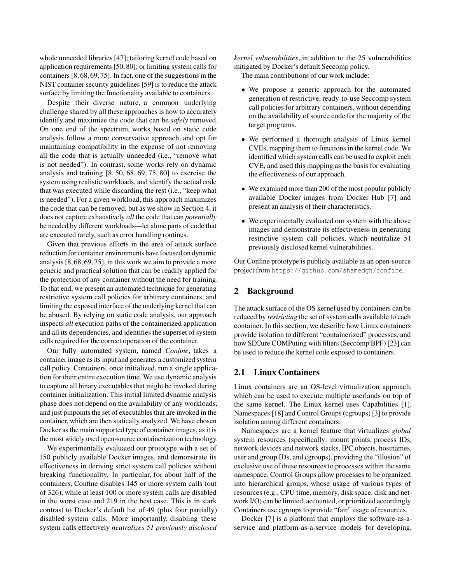whole unneeded libraries [\[47\]](#page-13-4); tailoring kernel code based on application requirements [\[50,](#page-13-2) [80\]](#page-15-0); or limiting system calls for containers [\[8,](#page-12-4) [68,](#page-14-4) [69,](#page-14-5) [75\]](#page-15-1). In fact, one of the suggestions in the NIST container security guidelines [\[59\]](#page-14-6) is to reduce the attack surface by limiting the functionality available to containers.

Despite their diverse nature, a common underlying challenge shared by all these approaches is how to accurately identify and maximize the code that can be *safely* removed. On one end of the spectrum, works based on static code analysis follow a more conservative approach, and opt for maintaining compatibility in the expense of not removing all the code that is actually unneeded (i.e., "remove what is not needed"). In contrast, some works rely on dynamic analysis and training [\[8,](#page-12-4) [50,](#page-13-2) [68,](#page-14-4) [69,](#page-14-5) [75,](#page-15-1) [80\]](#page-15-0) to exercise the system using realistic workloads, and identify the actual code that was executed while discarding the rest (i.e., "keep what is needed"). For a given workload, this approach maximizes the code that can be removed, but as we show in Section [4,](#page-2-0) it does not capture exhaustively *all* the code that can *potentially* be needed by different workloads—let alone parts of code that are executed rarely, such as error handling routines.

Given that previous efforts in the area of attack surface reduction for container environments have focused on dynamic analysis [\[8,](#page-12-4) [68,](#page-14-4) [69,](#page-14-5) [75\]](#page-15-1), in this work we aim to provide a more generic and practical solution that can be readily applied for the protection of any container without the need for training. To that end, we present an automated technique for generating restrictive system call policies for arbitrary containers, and limiting the exposed interface of the underlying kernel that can be abused. By relying on static code analysis, our approach inspects *all* execution paths of the containerized application and all its dependencies, and identifies the superset of system calls required for the correct operation of the container.

Our fully automated system, named *Confine*, takes a container image as its input and generates a customized system call policy. Containers, once initialized, run a single application for their entire execution time. We use dynamic analysis to capture all binary executables that might be invoked during container initialization. This initial limited dynamic analysis phase does not depend on the availability of any workloads, and just pinpoints the set of executables that are invoked in the container, which are then statically analyzed. We have chosen Docker as the main supported type of container images, as it is the most widely used open-source containerization technology.

We experimentally evaluated our prototype with a set of 150 publicly available Docker images, and demonstrate its effectiveness in deriving strict system call policies without breaking functionality. In particular, for about half of the containers, Confine disables 145 or more system calls (out of 326), while at least 100 or more system calls are disabled in the worst case and 219 in the best case. This is in stark contrast to Docker's default list of 49 (plus four partially) disabled system calls. More importantly, disabling these system calls effectively *neutralizes 51 previously disclosed* *kernel vulnerabilities*, in addition to the 25 vulnerabilities mitigated by Docker's default Seccomp policy.

The main contributions of our work include:

- We propose a generic approach for the automated generation of restrictive, ready-to-use Seccomp system call policies for arbitrary containers, without depending on the availability of source code for the majority of the target programs.
- We performed a thorough analysis of Linux kernel CVEs, mapping them to functions in the kernel code. We identified which system calls can be used to exploit each CVE, and used this mapping as the basis for evaluating the effectiveness of our approach.
- We examined more than 200 of the most popular publicly available Docker images from Docker Hub [\[7\]](#page-12-5) and present an analysis of their characteristics.
- We experimentally evaluated our system with the above images and demonstrate its effectiveness in generating restrictive system call policies, which neutralize 51 previously disclosed kernel vulnerabilities.

Our Confine prototype is publicly available as an open-source project from <https://github.com/shamedgh/confine>.

## 2 Background

The attack surface of the OS kernel used by containers can be reduced by *restricting* the set of system calls available to each container. In this section, we describe how Linux containers provide isolation to different "containerized" processes, and how SECure COMPuting with filters (Seccomp BPF) [\[23\]](#page-12-6) can be used to reduce the kernel code exposed to containers.

### 2.1 Linux Containers

Linux containers are an OS-level virtualization approach, which can be used to execute multiple userlands on top of the same kernel. The Linux kernel uses Capabilities [\[1\]](#page-12-1), Namespaces [\[18\]](#page-12-2) and Control Groups (cgroups) [\[3\]](#page-12-7) to provide isolation among different containers.

Namespaces are a kernel feature that virtualizes *global* system resources (specifically: mount points, process IDs, network devices and network stacks, IPC objects, hostnames, user and group IDs, and cgroups), providing the "illusion" of exclusive use of these resources to processes within the same namespace. Control Groups allow processes to be organized into hierarchical groups, whose usage of various types of resources (e.g., CPU time, memory, disk space, disk and network I/O) can be limited, accounted, or prioritized accordingly. Containers use cgroups to provide "fair" usage of resources.

Docker [\[7\]](#page-12-5) is a platform that employs the software-as-aservice and platform-as-a-service models for developing,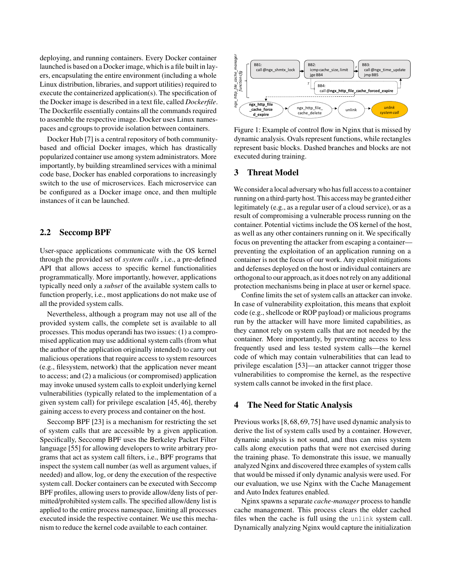deploying, and running containers. Every Docker container launched is based on a Docker image, which is a file built in layers, encapsulating the entire environment (including a whole Linux distribution, libraries, and support utilities) required to execute the containerized application(s). The specification of the Docker image is described in a text file, called *Dockerfile*. The Dockerfile essentially contains all the commands required to assemble the respective image. Docker uses Linux namespaces and cgroups to provide isolation between containers.

Docker Hub [\[7\]](#page-12-5) is a central repository of both communitybased and official Docker images, which has drastically popularized container use among system administrators. More importantly, by building streamlined services with a minimal code base, Docker has enabled corporations to increasingly switch to the use of microservices. Each microservice can be configured as a Docker image once, and then multiple instances of it can be launched.

### 2.2 Seccomp BPF

User-space applications communicate with the OS kernel through the provided set of *system calls* , i.e., a pre-defined API that allows access to specific kernel functionalities programmatically. More importantly, however, applications typically need only a *subset* of the available system calls to function properly, i.e., most applications do not make use of all the provided system calls.

Nevertheless, although a program may not use all of the provided system calls, the complete set is available to all processes. This modus operandi has two issues: (1) a compromised application may use additional system calls (from what the author of the application originally intended) to carry out malicious operations that require access to system resources (e.g., filesystem, network) that the application never meant to access; and (2) a malicious (or compromised) application may invoke unused system calls to exploit underlying kernel vulnerabilities (typically related to the implementation of a given system call) for privilege escalation [\[45,](#page-13-5) [46\]](#page-13-6), thereby gaining access to every process and container on the host.

Seccomp BPF [\[23\]](#page-12-6) is a mechanism for restricting the set of system calls that are accessible by a given application. Specifically, Seccomp BPF uses the Berkeley Packet Filter language [\[55\]](#page-14-7) for allowing developers to write arbitrary programs that act as system call filters, i.e., BPF programs that inspect the system call number (as well as argument values, if needed) and allow, log, or deny the execution of the respective system call. Docker containers can be executed with Seccomp BPF profiles, allowing users to provide allow/deny lists of permitted/prohibited system calls. The specified allow/deny list is applied to the entire process namespace, limiting all processes executed inside the respective container. We use this mechanism to reduce the kernel code available to each container.

<span id="page-2-1"></span>

Figure 1: Example of control flow in Nginx that is missed by dynamic analysis. Ovals represent functions, while rectangles represent basic blocks. Dashed branches and blocks are not executed during training.

#### 3 Threat Model

We consider a local adversary who has full access to a container running on a third-party host. This access may be granted either legitimately (e.g., as a regular user of a cloud service), or as a result of compromising a vulnerable process running on the container. Potential victims include the OS kernel of the host, as well as any other containers running on it. We specifically focus on preventing the attacker from escaping a container preventing the exploitation of an application running on a container is not the focus of our work. Any exploit mitigations and defenses deployed on the host or individual containers are orthogonal to our approach, as it does not rely on any additional protection mechanisms being in place at user or kernel space.

Confine limits the set of system calls an attacker can invoke. In case of vulnerability exploitation, this means that exploit code (e.g., shellcode or ROP payload) or malicious programs run by the attacker will have more limited capabilities, as they cannot rely on system calls that are not needed by the container. More importantly, by preventing access to less frequently used and less tested system calls—the kernel code of which may contain vulnerabilities that can lead to privilege escalation [\[53\]](#page-14-8)—an attacker cannot trigger those vulnerabilities to compromise the kernel, as the respective system calls cannot be invoked in the first place.

### <span id="page-2-0"></span>4 The Need for Static Analysis

Previous works [\[8,](#page-12-4) [68,](#page-14-4) [69,](#page-14-5) [75\]](#page-15-1) have used dynamic analysis to derive the list of system calls used by a container. However, dynamic analysis is not sound, and thus can miss system calls along execution paths that were not exercised during the training phase. To demonstrate this issue, we manually analyzed Nginx and discovered three examples of system calls that would be missed if only dynamic analysis were used. For our evaluation, we use Nginx with the Cache Management and Auto Index features enabled.

Nginx spawns a separate *cache-manager* process to handle cache management. This process clears the older cached files when the cache is full using the unlink system call. Dynamically analyzing Nginx would capture the initialization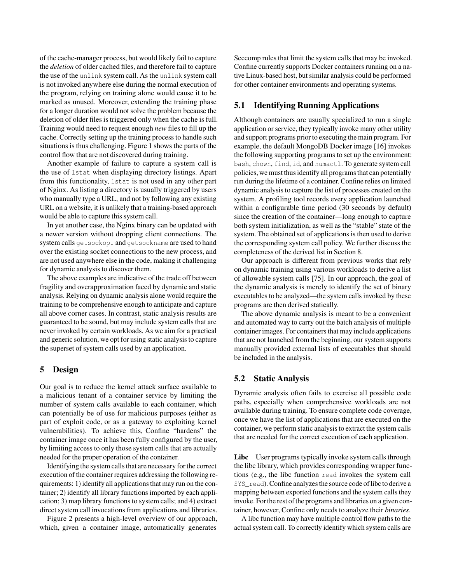of the cache-manager process, but would likely fail to capture the *deletion* of older cached files, and therefore fail to capture the use of the unlink system call. As the unlink system call is not invoked anywhere else during the normal execution of the program, relying on training alone would cause it to be marked as unused. Moreover, extending the training phase for a longer duration would not solve the problem because the deletion of older files is triggered only when the cache is full. Training would need to request enough *new* files to fill up the cache. Correctly setting up the training process to handle such situations is thus challenging. Figure [1](#page-2-1) shows the parts of the control flow that are not discovered during training.

Another example of failure to capture a system call is the use of lstat when displaying directory listings. Apart from this functionality, lstat is not used in any other part of Nginx. As listing a directory is usually triggered by users who manually type a URL, and not by following any existing URL on a website, it is unlikely that a training-based approach would be able to capture this system call.

In yet another case, the Nginx binary can be updated with a newer version without dropping client connections. The system calls getsockopt and getsockname are used to hand over the existing socket connections to the new process, and are not used anywhere else in the code, making it challenging for dynamic analysis to discover them.

The above examples are indicative of the trade off between fragility and overapproximation faced by dynamic and static analysis. Relying on dynamic analysis alone would require the training to be comprehensive enough to anticipate and capture all above corner cases. In contrast, static analysis results are guaranteed to be sound, but may include system calls that are never invoked by certain workloads. As we aim for a practical and generic solution, we opt for using static analysis to capture the superset of system calls used by an application.

### 5 Design

Our goal is to reduce the kernel attack surface available to a malicious tenant of a container service by limiting the number of system calls available to each container, which can potentially be of use for malicious purposes (either as part of exploit code, or as a gateway to exploiting kernel vulnerabilities). To achieve this, Confine "hardens" the container image once it has been fully configured by the user, by limiting access to only those system calls that are actually needed for the proper operation of the container.

Identifying the system calls that are necessary for the correct execution of the container requires addressing the following requirements: 1) identify all applications that may run on the container; 2) identify all library functions imported by each application; 3) map library functions to system calls; and 4) extract direct system call invocations from applications and libraries.

Figure [2](#page-4-0) presents a high-level overview of our approach, which, given a container image, automatically generates

Seccomp rules that limit the system calls that may be invoked. Confine currently supports Docker containers running on a native Linux-based host, but similar analysis could be performed for other container environments and operating systems.

### <span id="page-3-0"></span>5.1 Identifying Running Applications

Although containers are usually specialized to run a single application or service, they typically invoke many other utility and support programs prior to executing the main program. For example, the default MongoDB Docker image [\[16\]](#page-12-8) invokes the following supporting programs to set up the environment: bash, chown, find, id, and numactl. To generate system call policies, we must thus identify all programs that can potentially run during the lifetime of a container. Confine relies on limited dynamic analysis to capture the list of processes created on the system. A profiling tool records every application launched within a configurable time period (30 seconds by default) since the creation of the container—long enough to capture both system initialization, as well as the "stable" state of the system. The obtained set of applications is then used to derive the corresponding system call policy. We further discuss the completeness of the derived list in Section [8.](#page-10-0)

Our approach is different from previous works that rely on dynamic training using various workloads to derive a list of allowable system calls [\[75\]](#page-15-1). In our approach, the goal of the dynamic analysis is merely to identify the set of binary executables to be analyzed—the system calls invoked by these programs are then derived statically.

The above dynamic analysis is meant to be a convenient and automated way to carry out the batch analysis of multiple container images. For containers that may include applications that are not launched from the beginning, our system supports manually provided external lists of executables that should be included in the analysis.

#### <span id="page-3-1"></span>5.2 Static Analysis

Dynamic analysis often fails to exercise all possible code paths, especially when comprehensive workloads are not available during training. To ensure complete code coverage, once we have the list of applications that are executed on the container, we perform static analysis to extract the system calls that are needed for the correct execution of each application.

Libc User programs typically invoke system calls through the libc library, which provides corresponding wrapper functions (e.g., the libc function read invokes the system call SYS read). Confine analyzes the source code of libc to derive a mapping between exported functions and the system calls they invoke. For the rest of the programs and libraries on a given container, however, Confine only needs to analyze their *binaries*.

A libc function may have multiple control flow paths to the actual system call. To correctly identify which system calls are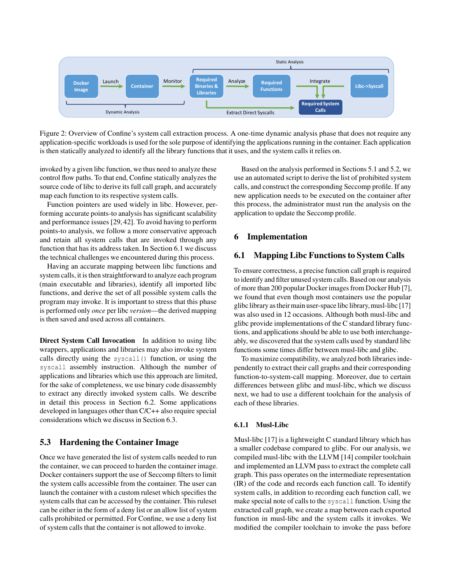<span id="page-4-0"></span>

Figure 2: Overview of Confine's system call extraction process. A one-time dynamic analysis phase that does not require any application-specific workloads is used for the sole purpose of identifying the applications running in the container. Each application is then statically analyzed to identify all the library functions that it uses, and the system calls it relies on.

invoked by a given libc function, we thus need to analyze these control flow paths. To that end, Confine statically analyzes the source code of libc to derive its full call graph, and accurately map each function to its respective system calls.

Function pointers are used widely in libc. However, performing accurate points-to analysis has significant scalability and performance issues [\[29,](#page-12-9) [42\]](#page-13-7). To avoid having to perform points-to analysis, we follow a more conservative approach and retain all system calls that are invoked through any function that has its address taken. In Section [6.1](#page-4-1) we discuss the technical challenges we encountered during this process.

Having an accurate mapping between libc functions and system calls, it is then straightforward to analyze each program (main executable and libraries), identify all imported libc functions, and derive the set of all possible system calls the program may invoke. It is important to stress that this phase is performed only *once* per libc *version*—the derived mapping is then saved and used across all containers.

Direct System Call Invocation In addition to using libc wrappers, applications and libraries may also invoke system calls directly using the syscall() function, or using the syscall assembly instruction. Although the number of applications and libraries which use this approach are limited, for the sake of completeness, we use binary code disassembly to extract any directly invoked system calls. We describe in detail this process in Section [6.2.](#page-5-0) Some applications developed in languages other than C/C++ also require special considerations which we discuss in Section [6.3.](#page-6-0)

### 5.3 Hardening the Container Image

Once we have generated the list of system calls needed to run the container, we can proceed to harden the container image. Docker containers support the use of Seccomp filters to limit the system calls accessible from the container. The user can launch the container with a custom ruleset which specifies the system calls that can be accessed by the container. This ruleset can be either in the form of a deny list or an allow list of system calls prohibited or permitted. For Confine, we use a deny list of system calls that the container is not allowed to invoke.

Based on the analysis performed in Sections [5.1](#page-3-0) and [5.2,](#page-3-1) we use an automated script to derive the list of prohibited system calls, and construct the corresponding Seccomp profile. If any new application needs to be executed on the container after this process, the administrator must run the analysis on the application to update the Seccomp profile.

### 6 Implementation

### <span id="page-4-1"></span>6.1 Mapping Libc Functions to System Calls

To ensure correctness, a precise function call graph is required to identify and filter unused system calls. Based on our analysis of more than 200 popular Docker images from Docker Hub [\[7\]](#page-12-5), we found that even though most containers use the popular glibc library as their main user-space libc library, musl-libc [\[17\]](#page-12-10) was also used in 12 occasions. Although both musl-libc and glibc provide implementations of the C standard library functions, and applications should be able to use both interchangeably, we discovered that the system calls used by standard libc functions some times differ between musl-libc and glibc.

To maximize compatibility, we analyzed both libraries independently to extract their call graphs and their corresponding function-to-system-call mapping. Moreover, due to certain differences between glibc and musl-libc, which we discuss next, we had to use a different toolchain for the analysis of each of these libraries.

#### 6.1.1 Musl-Libc

Musl-libc [\[17\]](#page-12-10) is a lightweight C standard library which has a smaller codebase compared to glibc. For our analysis, we compiled musl-libc with the LLVM [\[14\]](#page-12-11) compiler toolchain and implemented an LLVM pass to extract the complete call graph. This pass operates on the intermediate representation (IR) of the code and records each function call. To identify system calls, in addition to recording each function call, we make special note of calls to the syscall function. Using the extracted call graph, we create a map between each exported function in musl-libc and the system calls it invokes. We modified the compiler toolchain to invoke the pass before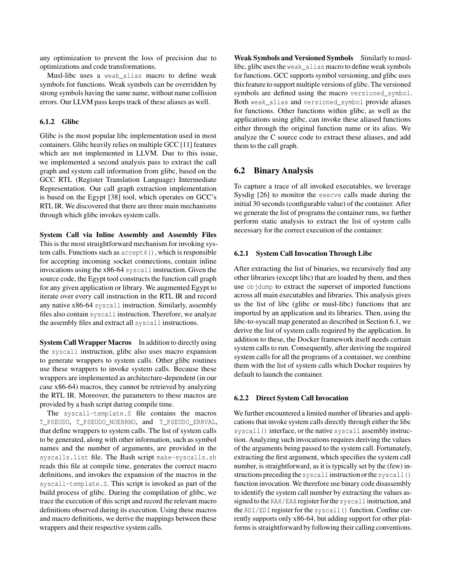any optimization to prevent the loss of precision due to optimizations and code transformations.

Musl-libc uses a weak alias macro to define weak symbols for functions. Weak symbols can be overridden by strong symbols having the same name, without name collision errors. Our LLVM pass keeps track of these aliases as well.

#### 6.1.2 Glibc

Glibc is the most popular libc implementation used in most containers. Glibc heavily relies on multiple GCC [\[11\]](#page-12-12) features which are not implemented in LLVM. Due to this issue, we implemented a second analysis pass to extract the call graph and system call information from glibc, based on the GCC RTL (Register Translation Language) Intermediate Representation. Our call graph extraction implementation is based on the Egypt [\[38\]](#page-13-8) tool, which operates on GCC's RTL IR. We discovered that there are three main mechanisms through which glibc invokes system calls.

System Call via Inline Assembly and Assembly Files This is the most straightforward mechanism for invoking system calls. Functions such as accept4(), which is responsible for accepting incoming socket connections, contain inline invocations using the x86-64 syscall instruction. Given the source code, the Egypt tool constructs the function call graph for any given application or library. We augmented Egypt to iterate over every call instruction in the RTL IR and record any native x86-64 syscall instruction. Similarly, assembly files also contain syscall instruction. Therefore, we analyze the assembly files and extract all syscall instructions.

System Call Wrapper Macros In addition to directly using the syscall instruction, glibc also uses macro expansion to generate wrappers to system calls. Other glibc routines use these wrappers to invoke system calls. Because these wrappers are implemented as architecture-dependent (in our case x86-64) macros, they cannot be retrieved by analyzing the RTL IR. Moreover, the parameters to these macros are provided by a bash script during compile time.

The syscall-template.S file contains the macros T\_PSEUDO, T\_PSEUDO\_NOERRNO, and T\_PSEUDO\_ERRVAL, that define wrappers to system calls. The list of system calls to be generated, along with other information, such as symbol names and the number of arguments, are provided in the syscalls.list file. The Bash script make-syscalls.sh reads this file at compile time, generates the correct macro definitions, and invokes the expansion of the macros in the syscall-template.S. This script is invoked as part of the build process of glibc. During the compilation of glibc, we trace the execution of this script and record the relevant macro definitions observed during its execution. Using these macros and macro definitions, we derive the mappings between these wrappers and their respective system calls.

Weak Symbols and Versioned Symbols Similarly to musllibc, glibc uses the weak\_alias macro to define weak symbols for functions. GCC supports symbol versioning, and glibc uses this feature to support multiple versions of glibc. The versioned symbols are defined using the macro versioned\_symbol. Both weak alias and versioned symbol provide aliases for functions. Other functions within glibc, as well as the applications using glibc, can invoke these aliased functions either through the original function name or its alias. We analyze the C source code to extract these aliases, and add them to the call graph.

### <span id="page-5-0"></span>6.2 Binary Analysis

To capture a trace of all invoked executables, we leverage Sysdig [\[26\]](#page-12-13) to monitor the execve calls made during the initial 30 seconds (configurable value) of the container. After we generate the list of programs the container runs, we further perform static analysis to extract the list of system calls necessary for the correct execution of the container.

#### 6.2.1 System Call Invocation Through Libc

After extracting the list of binaries, we recursively find any other libraries (except libc) that are loaded by them, and then use objdump to extract the superset of imported functions across all main executables and libraries. This analysis gives us the list of libc (glibc or musl-libc) functions that are imported by an application and its libraries. Then, using the libc-to-syscall map generated as described in Section [6.1,](#page-4-1) we derive the list of system calls required by the application. In addition to these, the Docker framework itself needs certain system calls to run. Consequently, after deriving the required system calls for all the programs of a container, we combine them with the list of system calls which Docker requires by default to launch the container.

#### 6.2.2 Direct System Call Invocation

We further encountered a limited number of libraries and applications that invoke system calls directly through either the libc syscall() interface, or the native syscall assembly instruction. Analyzing such invocations requires deriving the values of the arguments being passed to the system call. Fortunately, extracting the first argument, which specifies the system call number, is straightforward, as it is typically set by the (few) instructions preceding the syscall instruction orthe syscall() function invocation. We therefore use binary code disassembly to identify the system call number by extracting the values assigned to the RAX/EAX register for the syscall instruction, and the RDI/EDI register for the syscall() function. Confine currently supports only x86-64, but adding support for other platforms is straightforward by following their calling conventions.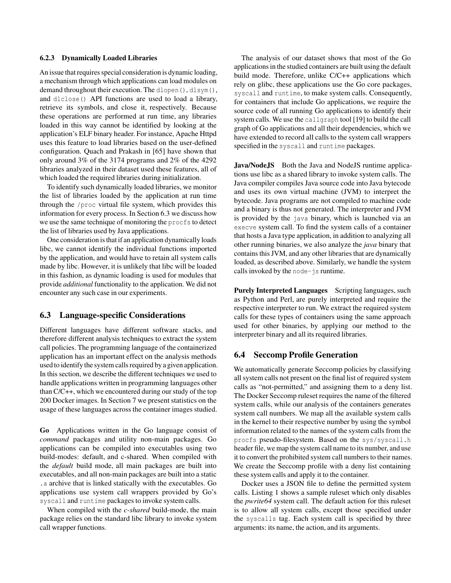#### 6.2.3 Dynamically Loaded Libraries

An issue that requires special consideration is dynamic loading, a mechanism through which applications can load modules on demand throughout their execution. The dlopen(), dlsym(), and dlclose() API functions are used to load a library, retrieve its symbols, and close it, respectively. Because these operations are performed at run time, any libraries loaded in this way cannot be identified by looking at the application's ELF binary header. For instance, Apache Httpd uses this feature to load libraries based on the user-defined configuration. Quach and Prakash in [\[65\]](#page-14-9) have shown that only around 3% of the 3174 programs and 2% of the 4292 libraries analyzed in their dataset used these features, all of which loaded the required libraries during initialization.

To identify such dynamically loaded libraries, we monitor the list of libraries loaded by the application at run time through the /proc virtual file system, which provides this information for every process. In Section [6.3](#page-6-0) we discuss how we use the same technique of monitoring the procfs to detect the list of libraries used by Java applications.

One consideration is that if an application dynamically loads libc, we cannot identify the individual functions imported by the application, and would have to retain all system calls made by libc. However, it is unlikely that libc will be loaded in this fashion, as dynamic loading is used for modules that provide *additional* functionality to the application. We did not encounter any such case in our experiments.

# <span id="page-6-0"></span>6.3 Language-specific Considerations

Different languages have different software stacks, and therefore different analysis techniques to extract the system call policies. The programming language of the containerized application has an important effect on the analysis methods used to identify the system calls required by a given application. In this section, we describe the different techniques we used to handle applications written in programming languages other than C/C++, which we encountered during our study of the top 200 Docker images. In Section [7](#page-7-0) we present statistics on the usage of these languages across the container images studied.

<span id="page-6-1"></span>Go Applications written in the Go language consist of *command* packages and utility non-main packages. Go applications can be compiled into executables using two build-modes: default, and c-shared. When compiled with the *default* build mode, all main packages are built into executables, and all non-main packages are built into a static .a archive that is linked statically with the executables. Go applications use system call wrappers provided by Go's syscall and runtime packages to invoke system calls.

When compiled with the *c-shared* build-mode, the main package relies on the standard libc library to invoke system call wrapper functions.

The analysis of our dataset shows that most of the Go applications in the studied containers are built using the default build mode. Therefore, unlike C/C++ applications which rely on glibc, these applications use the Go core packages, syscall and runtime, to make system calls. Consequently, for containers that include Go applications, we require the source code of all running Go applications to identify their system calls. We use the callgraph tool [\[19\]](#page-12-14) to build the call graph of Go applications and all their dependencies, which we have extended to record all calls to the system call wrappers specified in the syscall and runtime packages.

Java/NodeJS Both the Java and NodeJS runtime applications use libc as a shared library to invoke system calls. The Java compiler compiles Java source code into Java bytecode and uses its own virtual machine (JVM) to interpret the bytecode. Java programs are not compiled to machine code and a binary is thus not generated. The interpreter and JVM is provided by the java binary, which is launched via an execve system call. To find the system calls of a container that hosts a Java type application, in addition to analyzing all other running binaries, we also analyze the *java* binary that contains this JVM, and any other libraries that are dynamically loaded, as described above. Similarly, we handle the system calls invoked by the node-js runtime.

Purely Interpreted Languages Scripting languages, such as Python and Perl, are purely interpreted and require the respective interpreter to run. We extract the required system calls for these types of containers using the same approach used for other binaries, by applying our method to the interpreter binary and all its required libraries.

### 6.4 Seccomp Profile Generation

We automatically generate Seccomp policies by classifying all system calls not present on the final list of required system calls as "not-permitted," and assigning them to a deny list. The Docker Seccomp ruleset requires the name of the filtered system calls, while our analysis of the containers generates system call numbers. We map all the available system calls in the kernel to their respective number by using the symbol information related to the names of the system calls from the procfs pseudo-filesystem. Based on the sys/syscall.h header file, we map the system call name to its number, and use it to convert the prohibited system call numbers to their names. We create the Seccomp profile with a deny list containing these system calls and apply it to the container.

Docker uses a JSON file to define the permitted system calls. Listing [1](#page-7-1) shows a sample ruleset which only disables the *pwrite64* system call. The default action for this ruleset is to allow all system calls, except those specified under the syscalls tag. Each system call is specified by three arguments: its name, the action, and its arguments.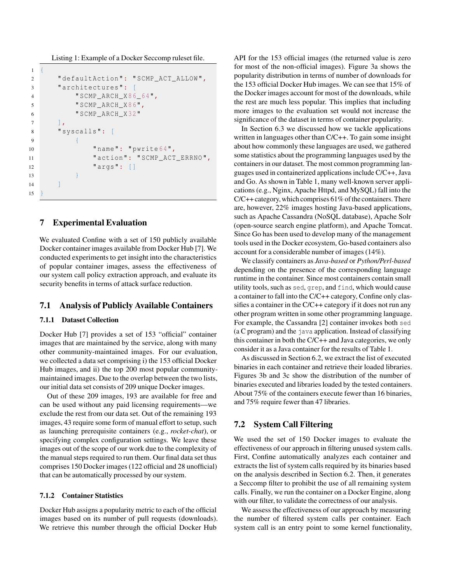<span id="page-7-1"></span>Listing 1: Example of a Docker Seccomp ruleset file.

```
\mathbf{1}2 " defaultAction ": " SCMP_ACT_ALLOW ",
3 " architectures ": [
4 " SCMP_ARCH_X86_64",
5 " SCMP_ARCH_X86",
6 " SCMP_ARCH_X32"
7 \quad \boxed{\phantom{0}}8 " syscalls ": [
9 \qquad \qquad \{10 " name": " pwrite64",
11 " action": "SCMP_ACT_ERRNO",
12 " args ": []
13 }
14 ]
15
```
### <span id="page-7-0"></span>7 Experimental Evaluation

We evaluated Confine with a set of 150 publicly available Docker container images available from Docker Hub [\[7\]](#page-12-5). We conducted experiments to get insight into the characteristics of popular container images, assess the effectiveness of our system call policy extraction approach, and evaluate its security benefits in terms of attack surface reduction.

### 7.1 Analysis of Publicly Available Containers

#### 7.1.1 Dataset Collection

Docker Hub [\[7\]](#page-12-5) provides a set of 153 "official" container images that are maintained by the service, along with many other community-maintained images. For our evaluation, we collected a data set comprising i) the 153 official Docker Hub images, and ii) the top 200 most popular communitymaintained images. Due to the overlap between the two lists, our initial data set consists of 209 unique Docker images.

Out of these 209 images, 193 are available for free and can be used without any paid licensing requirements—we exclude the rest from our data set. Out of the remaining 193 images, 43 require some form of manual effort to setup, such as launching prerequisite containers (e.g., *rocket-chat*), or specifying complex configuration settings. We leave these images out of the scope of our work due to the complexity of the manual steps required to run them. Our final data set thus comprises 150 Docker images (122 official and 28 unofficial) that can be automatically processed by our system.

#### 7.1.2 Container Statistics

Docker Hub assigns a popularity metric to each of the official images based on its number of pull requests (downloads). We retrieve this number through the official Docker Hub

API for the 153 official images (the returned value is zero for most of the non-official images). Figure [3a](#page-8-0) shows the popularity distribution in terms of number of downloads for the 153 official Docker Hub images. We can see that 15% of the Docker images account for most of the downloads, while the rest are much less popular. This implies that including more images to the evaluation set would not increase the significance of the dataset in terms of container popularity.

In Section [6.3](#page-6-0) we discussed how we tackle applications written in languages other than C/C++. To gain some insight about how commonly these languages are used, we gathered some statistics about the programming languages used by the containers in our dataset. The most common programming languages used in containerized applications include C/C++, Java and Go. As shown in Table [1,](#page-8-1) many well-known server applications (e.g., Nginx, Apache Httpd, and MySQL) fall into the  $C/C++$  category, which comprises 61% of the containers. There are, however, 22% images hosting Java-based applications, such as Apache Cassandra (NoSQL database), Apache Solr (open-source search engine platform), and Apache Tomcat. Since Go has been used to develop many of the management tools used in the Docker ecosystem, Go-based containers also account for a considerable number of images (14%).

We classify containers as *Java-based* or *Python/Perl-based* depending on the presence of the corresponding language runtime in the container. Since most containers contain small utility tools, such as sed, grep, and find, which would cause a container to fall into the C/C++ category, Confine only classifies a container in the C/C++ category if it does not run any other program written in some other programming language. For example, the Cassandra [\[2\]](#page-12-15) container invokes both sed (a C program) and the java application. Instead of classifying this container in both the C/C++ and Java categories, we only consider it as a Java container for the results of Table [1.](#page-8-1)

As discussed in Section [6.2,](#page-5-0) we extract the list of executed binaries in each container and retrieve their loaded libraries. Figures [3b](#page-8-2) and [3c](#page-8-3) show the distribution of the number of binaries executed and libraries loaded by the tested containers. About 75% of the containers execute fewer than 16 binaries, and 75% require fewer than 47 libraries.

### 7.2 System Call Filtering

We used the set of 150 Docker images to evaluate the effectiveness of our approach in filtering unused system calls. First, Confine automatically analyzes each container and extracts the list of system calls required by its binaries based on the analysis described in Section [6.2.](#page-5-0) Then, it generates a Seccomp filter to prohibit the use of all remaining system calls. Finally, we run the container on a Docker Engine, along with our filter, to validate the correctness of our analysis.

We assess the effectiveness of our approach by measuring the number of filtered system calls per container. Each system call is an entry point to some kernel functionality,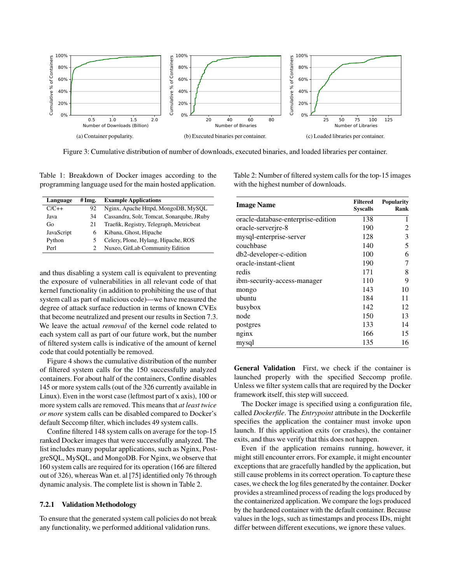<span id="page-8-0"></span>

Figure 3: Cumulative distribution of number of downloads, executed binaries, and loaded libraries per container.

<span id="page-8-1"></span>Table 1: Breakdown of Docker images according to the programming language used for the main hosted application.

| Language   | # Img. | <b>Example Applications</b>               |  |
|------------|--------|-------------------------------------------|--|
| $C/C++$    | 92     | Nginx, Apache Httpd, MongoDB, MySQL       |  |
| Java       | 34     | Cassandra, Solr, Tomcat, Sonarqube, JRuby |  |
| Go         | 21     | Traefik, Registry, Telegraph, Metricbeat  |  |
| JavaScript | 6      | Kibana, Ghost, Hipache                    |  |
| Python     |        | Celery, Plone, Hylang, Hipache, ROS       |  |
| Perl       |        | Nuxeo, GitLab Community Edition           |  |

and thus disabling a system call is equivalent to preventing the exposure of vulnerabilities in all relevant code of that kernel functionality (in addition to prohibiting the use of that system call as part of malicious code)—we have measured the degree of attack surface reduction in terms of known CVEs that become neutralized and present our results in Section [7.3.](#page-9-0) We leave the actual *removal* of the kernel code related to each system call as part of our future work, but the number of filtered system calls is indicative of the amount of kernel code that could potentially be removed.

Figure [4](#page-9-1) shows the cumulative distribution of the number of filtered system calls for the 150 successfully analyzed containers. For about half of the containers, Confine disables 145 or more system calls (out of the 326 currently available in Linux). Even in the worst case (leftmost part of x axis), 100 or more system calls are removed. This means that *at least twice or more* system calls can be disabled compared to Docker's default Seccomp filter, which includes 49 system calls.

Confine filtered 148 system calls on average for the top-15 ranked Docker images that were successfully analyzed. The list includes many popular applications, such as Nginx, PostgreSQL, MySQL, and MongoDB. For Nginx, we observe that 160 system calls are required for its operation (166 are filtered out of 326), whereas Wan et. al [\[75\]](#page-15-1) identified only 76 through dynamic analysis. The complete list is shown in Table [2.](#page-8-4)

#### 7.2.1 Validation Methodology

To ensure that the generated system call policies do not break any functionality, we performed additional validation runs.

<span id="page-8-4"></span><span id="page-8-3"></span><span id="page-8-2"></span>Table 2: Number of filtered system calls for the top-15 images with the highest number of downloads.

| <b>Image Name</b>                  | <b>Filtered</b><br><b>Syscalls</b> | <b>Popularity</b><br>Rank |  |
|------------------------------------|------------------------------------|---------------------------|--|
| oracle-database-enterprise-edition | 138                                | 1                         |  |
| oracle-serverire-8                 | 190                                | 2                         |  |
| mysql-enterprise-server            | 128                                | 3                         |  |
| couchbase                          | 140                                | 5                         |  |
| db2-developer-c-edition            | 100                                | 6                         |  |
| oracle-instant-client              | 190                                | 7                         |  |
| redis                              | 171                                | 8                         |  |
| ibm-security-access-manager        | 110                                | 9                         |  |
| mongo                              | 143                                | 10                        |  |
| ubuntu                             | 184                                | 11                        |  |
| busybox                            | 142                                | 12                        |  |
| node                               | 150                                | 13                        |  |
| postgres                           | 133                                | 14                        |  |
| nginx                              | 166                                | 15                        |  |
| mysql                              | 135                                | 16                        |  |

General Validation First, we check if the container is launched properly with the specified Seccomp profile. Unless we filter system calls that are required by the Docker framework itself, this step will succeed.

The Docker image is specified using a configuration file, called *Dockerfile*. The *Entrypoint* attribute in the Dockerfile specifies the application the container must invoke upon launch. If this application exits (or crashes), the container exits, and thus we verify that this does not happen.

Even if the application remains running, however, it might still encounter errors. For example, it might encounter exceptions that are gracefully handled by the application, but still cause problems in its correct operation. To capture these cases, we check the log files generated by the container. Docker provides a streamlined process of reading the logs produced by the containerized application. We compare the logs produced by the hardened container with the default container. Because values in the logs, such as timestamps and process IDs, might differ between different executions, we ignore these values.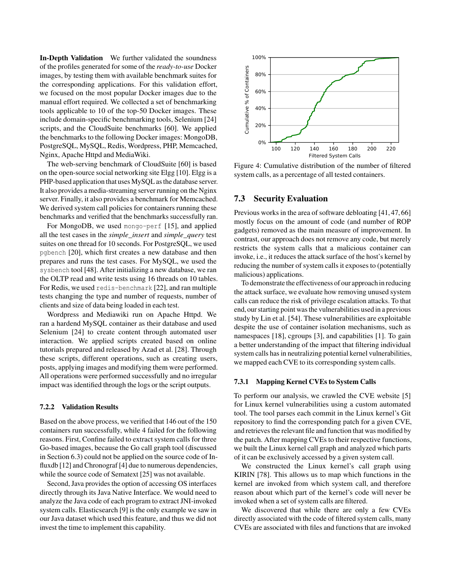In-Depth Validation We further validated the soundness of the profiles generated for some of the *ready-to-use* Docker images, by testing them with available benchmark suites for the corresponding applications. For this validation effort, we focused on the most popular Docker images due to the manual effort required. We collected a set of benchmarking tools applicable to 10 of the top-50 Docker images. These include domain-specific benchmarking tools, Selenium [\[24\]](#page-12-16) scripts, and the CloudSuite benchmarks [\[60\]](#page-14-10). We applied the benchmarks to the following Docker images: MongoDB, PostgreSQL, MySQL, Redis, Wordpress, PHP, Memcached, Nginx, Apache Httpd and MediaWiki.

The web-serving benchmark of CloudSuite [\[60\]](#page-14-10) is based on the open-source social networking site Elgg [\[10\]](#page-12-17). Elgg is a PHP-based application that uses MySQL as the database server. It also provides a media-streaming server running on the Nginx server. Finally, it also provides a benchmark for Memcached. We derived system call policies for containers running these benchmarks and verified that the benchmarks successfully ran.

For MongoDB, we used mongo-perf [\[15\]](#page-12-18), and applied all the test cases in the *simple\_insert* and *simple\_query* test suites on one thread for 10 seconds. For PostgreSQL, we used pgbench [\[20\]](#page-12-19), which first creates a new database and then prepares and runs the test cases. For MySQL, we used the sysbench tool [\[48\]](#page-13-9). After initializing a new database, we ran the OLTP read and write tests using 16 threads on 10 tables. For Redis, we used redis-benchmark [\[22\]](#page-12-20), and ran multiple tests changing the type and number of requests, number of clients and size of data being loaded in each test.

Wordpress and Mediawiki run on Apache Httpd. We ran a hardend MySQL container as their database and used Selenium [\[24\]](#page-12-16) to create content through automated user interaction. We applied scripts created based on online tutorials prepared and released by Azad et al. [\[28\]](#page-12-21). Through these scripts, different operations, such as creating users, posts, applying images and modifying them were performed. All operations were performed successfully and no irregular impact was identified through the logs or the script outputs.

#### <span id="page-9-2"></span>7.2.2 Validation Results

Based on the above process, we verified that 146 out of the 150 containers run successfully, while 4 failed for the following reasons. First, Confine failed to extract system calls for three Go-based images, because the Go call graph tool (discussed in Section [6.3\)](#page-6-1) could not be applied on the source code of Influxdb [\[12\]](#page-12-22) and Chronograf [\[4\]](#page-12-23) due to numerous dependencies, while the source code of Sematext [\[25\]](#page-12-24) was not available.

Second, Java provides the option of accessing OS interfaces directly through its Java Native Interface. We would need to analyze the Java code of each program to extract JNI-invoked system calls. Elasticsearch [\[9\]](#page-12-25) is the only example we saw in our Java dataset which used this feature, and thus we did not invest the time to implement this capability.

<span id="page-9-1"></span>

Figure 4: Cumulative distribution of the number of filtered system calls, as a percentage of all tested containers.

# <span id="page-9-0"></span>7.3 Security Evaluation

Previous works in the area of software debloating [\[41,](#page-13-10) [47,](#page-13-4) [66\]](#page-14-3) mostly focus on the amount of code (and number of ROP gadgets) removed as the main measure of improvement. In contrast, our approach does not remove any code, but merely restricts the system calls that a malicious container can invoke, i.e., it reduces the attack surface of the host's kernel by reducing the number of system calls it exposes to (potentially malicious) applications.

To demonstrate the effectiveness of our approach in reducing the attack surface, we evaluate how removing unused system calls can reduce the risk of privilege escalation attacks. To that end, our starting point was the vulnerabilities used in a previous study by Lin et al. [\[54\]](#page-14-11). These vulnerabilities are exploitable despite the use of container isolation mechanisms, such as namespaces [\[18\]](#page-12-2), cgroups [\[3\]](#page-12-7), and capabilities [\[1\]](#page-12-1). To gain a better understanding of the impact that filtering individual system calls has in neutralizing potential kernel vulnerabilities, we mapped each CVE to its corresponding system calls.

#### 7.3.1 Mapping Kernel CVEs to System Calls

To perform our analysis, we crawled the CVE website [\[5\]](#page-12-26) for Linux kernel vulnerabilities using a custom automated tool. The tool parses each commit in the Linux kernel's Git repository to find the corresponding patch for a given CVE, and retrieves the relevant file and function that was modified by the patch. After mapping CVEs to their respective functions, we built the Linux kernel call graph and analyzed which parts of it can be exclusively accessed by a given system call.

We constructed the Linux kernel's call graph using KIRIN [\[78\]](#page-15-2). This allows us to map which functions in the kernel are invoked from which system call, and therefore reason about which part of the kernel's code will never be invoked when a set of system calls are filtered.

We discovered that while there are only a few CVEs directly associated with the code of filtered system calls, many CVEs are associated with files and functions that are invoked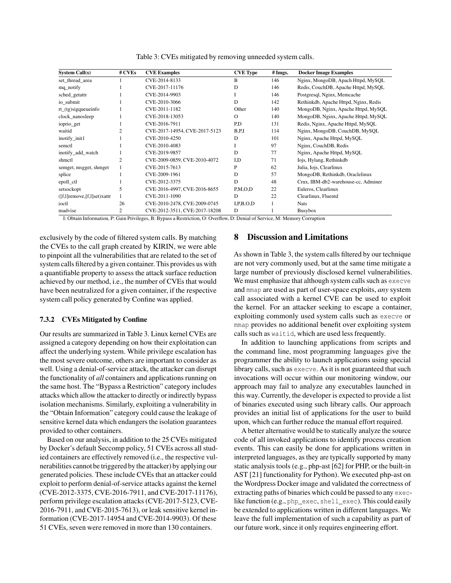<span id="page-10-1"></span>

| <b>System Call(s)</b>              | # CVEs         | <b>CVE Examples</b>           | <b>CVE Type</b> | # Imgs. | <b>Docker Image Examples</b>          |
|------------------------------------|----------------|-------------------------------|-----------------|---------|---------------------------------------|
| set_thread_area                    |                | CVE-2014-8133                 | B               | 146     | Nginx, MongoDB, Apach Httpd, MySQL    |
| mq_notify                          |                | CVE-2017-11176                | D               | 146     | Redis, CouchDB, Apache Httpd, MySQL   |
| sched_getattr                      |                | CVE-2014-9903                 |                 | 146     | Postgresql, Nginx, Memcache           |
| io submit                          |                | CVE-2010-3066                 | D               | 142     | Rethinkdb, Apache Httpd, Nginx, Redis |
| $rt_{(tg)$ sigqueueinfo            |                | CVE-2011-1182                 | Other           | 140     | MongoDB, Nginx, Apache Httpd, MySQL   |
| clock_nanosleep                    |                | CVE-2018-13053                | $\Omega$        | 140     | MongoDB, Nginx, Apache Httpd, MySQL   |
| ioprio_get                         |                | CVE-2016-7911                 | P,D             | 131     | Redis, Nginx, Apache Httpd, MySQL     |
| waitid                             | $\overline{c}$ | CVE-2017-14954, CVE-2017-5123 | B.P.1           | 114     | Nginx, MongoDB, CouchDB, MySQL        |
| inotify_init1                      |                | CVE-2010-4250                 | D               | 101     | Nginx, Apache Httpd, MySQL            |
| semctl                             |                | CVE-2010-4083                 |                 | 97      | Nginx, CouchDB, Redis                 |
| inotify_add_watch                  |                | CVE-2019-9857                 | D               | 77      | Nginx, Apache Httpd, MySQL            |
| shmetl                             | 2              | CVE-2009-0859, CVE-2010-4072  | I,D             | 71      | Iojs, Hylang, Rethinkdb               |
| semget, msgget, shmget             |                | CVE-2015-7613                 | P               | 62      | Julia, Iojs, Clearlinux               |
| splice                             |                | CVE-2009-1961                 | D               | 57      | MongoDB, Rethinkdb, Oraclelinux       |
| epoll_ctl                          |                | CVE-2012-3375                 | D               | 48      | Crux, IBM-db2-warehouse-cc, Adminer   |
| setsockopt                         | 5              | CVE-2016-4997, CVE-2016-8655  | P.M.O.D         | 22      | Euleros, Clearlinux                   |
| $([f,1]$ remove, $[f,1]$ set)xattr |                | CVE-2011-1090                 | D               | 22      | Clearlinux, Fluentd                   |
| ioctl                              | 26             | CVE-2010-2478, CVE-2009-0745  | I.P.B.O.D       |         | <b>Nats</b>                           |
| madvise                            | $\overline{c}$ | CVE-2012-3511, CVE-2017-18208 | D               |         | <b>Busybox</b>                        |

Table 3: CVEs mitigated by removing unneeded system calls.

I: Obtain Information, P: Gain Privileges, B: Bypass a Restriction, O: Overflow, D: Denial of Service, M: Memory Corruption

exclusively by the code of filtered system calls. By matching the CVEs to the call graph created by KIRIN, we were able to pinpoint all the vulnerabilities that are related to the set of system calls filtered by a given container. This provides us with a quantifiable property to assess the attack surface reduction achieved by our method, i.e., the number of CVEs that would have been neutralized for a given container, if the respective system call policy generated by Confine was applied.

#### 7.3.2 CVEs Mitigated by Confine

Our results are summarized in Table [3.](#page-10-1) Linux kernel CVEs are assigned a category depending on how their exploitation can affect the underlying system. While privilege escalation has the most severe outcome, others are important to consider as well. Using a denial-of-service attack, the attacker can disrupt the functionality of *all* containers and applications running on the same host. The "Bypass a Restriction" category includes attacks which allow the attacker to directly or indirectly bypass isolation mechanisms. Similarly, exploiting a vulnerability in the "Obtain Information" category could cause the leakage of sensitive kernel data which endangers the isolation guarantees provided to other containers.

Based on our analysis, in addition to the 25 CVEs mitigated by Docker's default Seccomp policy, 51 CVEs across all studied containers are effectively removed (i.e., the respective vulnerabilities cannot be triggered by the attacker) by applying our generated policies. These include CVEs that an attacker could exploit to perform denial-of-service attacks against the kernel (CVE-2012-3375, CVE-2016-7911, and CVE-2017-11176), perform privilege escalation attacks (CVE-2017-5123, CVE-2016-7911, and CVE-2015-7613), or leak sensitive kernel information (CVE-2017-14954 and CVE-2014-9903). Of these 51 CVEs, seven were removed in more than 130 containers.

### <span id="page-10-0"></span>8 Discussion and Limitations

As shown in Table [3,](#page-10-1) the system calls filtered by our technique are not very commonly used, but at the same time mitigate a large number of previously disclosed kernel vulnerabilities. We must emphasize that although system calls such as execve and mmap are used as part of user-space exploits, *any* system call associated with a kernel CVE can be used to exploit the kernel. For an attacker seeking to escape a container, exploiting commonly used system calls such as execve or mmap provides no additional benefit over exploiting system calls such as waitid, which are used less frequently.

In addition to launching applications from scripts and the command line, most programming languages give the programmer the ability to launch applications using special library calls, such as execve. As it is not guaranteed that such invocations will occur within our monitoring window, our approach may fail to analyze any executables launched in this way. Currently, the developer is expected to provide a list of binaries executed using such library calls. Our approach provides an initial list of applications for the user to build upon, which can further reduce the manual effort required.

A better alternative would be to statically analyze the source code of all invoked applications to identify process creation events. This can easily be done for applications written in interpreted languages, as they are typically supported by many static analysis tools (e.g., php-ast [\[62\]](#page-14-12) for PHP, or the built-in AST [\[21\]](#page-12-27) functionality for Python). We executed php-ast on the Wordpress Docker image and validated the correctness of extracting paths of binaries which could be passed to any execlike function (e.g., php\_exec, shell\_exec). This could easily be extended to applications written in different languages. We leave the full implementation of such a capability as part of our future work, since it only requires engineering effort.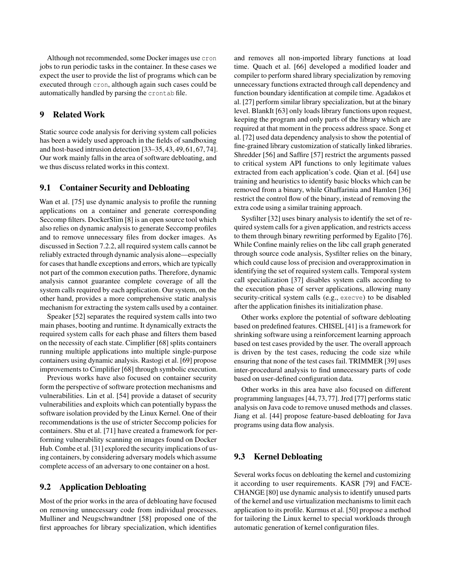Although not recommended, some Docker images use cron jobs to run periodic tasks in the container. In these cases we expect the user to provide the list of programs which can be executed through cron, although again such cases could be automatically handled by parsing the crontab file.

### 9 Related Work

Static source code analysis for deriving system call policies has been a widely used approach in the fields of sandboxing and host-based intrusion detection [\[33–](#page-13-11)[35,](#page-13-12) [43,](#page-13-13) [49,](#page-13-14) [61,](#page-14-13) [67,](#page-14-14) [74\]](#page-14-15). Our work mainly falls in the area of software debloating, and we thus discuss related works in this context.

### 9.1 Container Security and Debloating

Wan et al. [\[75\]](#page-15-1) use dynamic analysis to profile the running applications on a container and generate corresponding Seccomp filters. DockerSlim [\[8\]](#page-12-4) is an open source tool which also relies on dynamic analysis to generate Seccomp profiles and to remove unnecessary files from docker images. As discussed in Section [7.2.2,](#page-9-2) all required system calls cannot be reliably extracted through dynamic analysis alone—especially for cases that handle exceptions and errors, which are typically not part of the common execution paths. Therefore, dynamic analysis cannot guarantee complete coverage of all the system calls required by each application. Our system, on the other hand, provides a more comprehensive static analysis mechanism for extracting the system calls used by a container.

Speaker [\[52\]](#page-13-15) separates the required system calls into two main phases, booting and runtime. It dynamically extracts the required system calls for each phase and filters them based on the necessity of each state. Cimplifier [\[68\]](#page-14-4) splits containers running multiple applications into multiple single-purpose containers using dynamic analysis. Rastogi et al. [\[69\]](#page-14-5) propose improvements to Cimplifier [\[68\]](#page-14-4) through symbolic execution.

Previous works have also focused on container security form the perspective of software protection mechanisms and vulnerabilities. Lin et al. [\[54\]](#page-14-11) provide a dataset of security vulnerabilities and exploits which can potentially bypass the software isolation provided by the Linux Kernel. One of their recommendations is the use of stricter Seccomp policies for containers. Shu et al. [\[71\]](#page-14-16) have created a framework for performing vulnerability scanning on images found on Docker Hub. Combe et al. [\[31\]](#page-13-16) explored the security implications of using containers, by considering adversary models which assume complete access of an adversary to one container on a host.

### 9.2 Application Debloating

Most of the prior works in the area of debloating have focused on removing unnecessary code from individual processes. Mulliner and Neugschwandtner [\[58\]](#page-14-2) proposed one of the first approaches for library specialization, which identifies

and removes all non-imported library functions at load time. Quach et al. [\[66\]](#page-14-3) developed a modified loader and compiler to perform shared library specialization by removing unnecessary functions extracted through call dependency and function boundary identification at compile time. Agadakos et al. [\[27\]](#page-12-28) perform similar library specialization, but at the binary level. BlankIt [\[63\]](#page-14-17) only loads library functions upon request, keeping the program and only parts of the library which are required at that moment in the process address space. Song et al. [\[72\]](#page-14-18) used data dependency analysis to show the potential of fine-grained library customization of statically linked libraries. Shredder [\[56\]](#page-14-1) and Saffire [\[57\]](#page-14-19) restrict the arguments passed to critical system API functions to only legitimate values extracted from each application's code. Qian et al. [\[64\]](#page-14-20) use training and heuristics to identify basic blocks which can be removed from a binary, while Ghaffarinia and Hamlen [\[36\]](#page-13-17) restrict the control flow of the binary, instead of removing the extra code using a similar training approach.

Sysfilter [\[32\]](#page-13-18) uses binary analysis to identify the set of required system calls for a given application, and restricts access to them through binary rewriting performed by Egalito [\[76\]](#page-15-3). While Confine mainly relies on the libc call graph generated through source code analysis, Sysfilter relies on the binary, which could cause loss of precision and overapproximation in identifying the set of required system calls. Temporal system call specialization [\[37\]](#page-13-19) disables system calls according to the execution phase of server applications, allowing many security-critical system calls (e.g., execve) to be disabled after the application finishes its initialization phase.

Other works explore the potential of software debloating based on predefined features. CHISEL [\[41\]](#page-13-10) is a framework for shrinking software using a reinforcement learning approach based on test cases provided by the user. The overall approach is driven by the test cases, reducing the code size while ensuring that none of the test cases fail. TRIMMER [\[39\]](#page-13-20) uses inter-procedural analysis to find unnecessary parts of code based on user-defined configuration data.

Other works in this area have also focused on different programming languages [\[44,](#page-13-21) [73,](#page-14-21) [77\]](#page-15-4). Jred [\[77\]](#page-15-4) performs static analysis on Java code to remove unused methods and classes. Jiang et al. [\[44\]](#page-13-21) propose feature-based debloating for Java programs using data flow analysis.

#### 9.3 Kernel Debloating

Several works focus on debloating the kernel and customizing it according to user requirements. KASR [\[79\]](#page-15-5) and FACE-CHANGE [\[80\]](#page-15-0) use dynamic analysis to identify unused parts of the kernel and use virtualization mechanisms to limit each application to its profile. Kurmus et al. [\[50\]](#page-13-2) propose a method for tailoring the Linux kernel to special workloads through automatic generation of kernel configuration files.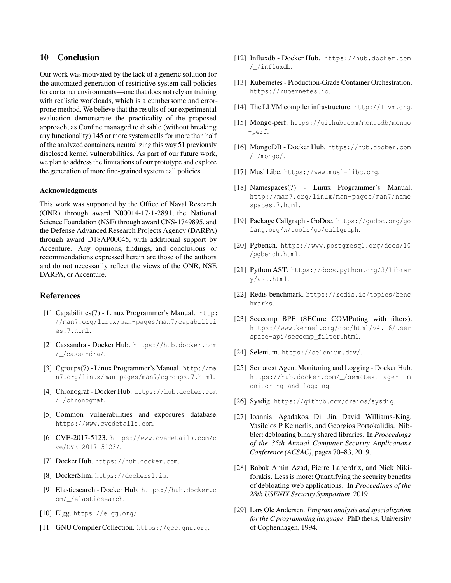# 10 Conclusion

Our work was motivated by the lack of a generic solution for the automated generation of restrictive system call policies for container environments—one that does not rely on training with realistic workloads, which is a cumbersome and errorprone method. We believe that the results of our experimental evaluation demonstrate the practicality of the proposed approach, as Confine managed to disable (without breaking any functionality) 145 or more system calls for more than half of the analyzed containers, neutralizing this way 51 previously disclosed kernel vulnerabilities. As part of our future work, we plan to address the limitations of our prototype and explore the generation of more fine-grained system call policies.

#### Acknowledgments

This work was supported by the Office of Naval Research (ONR) through award N00014-17-1-2891, the National Science Foundation (NSF) through award CNS-1749895, and the Defense Advanced Research Projects Agency (DARPA) through award D18AP00045, with additional support by Accenture. Any opinions, findings, and conclusions or recommendations expressed herein are those of the authors and do not necessarily reflect the views of the ONR, NSF, DARPA, or Accenture.

### References

- <span id="page-12-1"></span>[1] Capabilities(7) - Linux Programmer's Manual. [http:](http://man7.org/linux/man-pages/man7/capabilities.7.html) [//man7.org/linux/man-pages/man7/capabiliti](http://man7.org/linux/man-pages/man7/capabilities.7.html) [es.7.html](http://man7.org/linux/man-pages/man7/capabilities.7.html).
- <span id="page-12-15"></span>[2] Cassandra - Docker Hub. [https://hub.docker.com](https://hub.docker.com/_/cassandra/) [/\\_/cassandra/](https://hub.docker.com/_/cassandra/).
- <span id="page-12-7"></span>[3] Cgroups(7) - Linux Programmer's Manual. [http://ma](http://man7.org/linux/man-pages/man7/cgroups.7.html) [n7.org/linux/man-pages/man7/cgroups.7.html](http://man7.org/linux/man-pages/man7/cgroups.7.html).
- <span id="page-12-23"></span>[4] Chronograf - Docker Hub. [https://hub.docker.com](https://hub.docker.com/_/chronograf) [/\\_/chronograf](https://hub.docker.com/_/chronograf).
- <span id="page-12-26"></span>[5] Common vulnerabilities and exposures database. <https://www.cvedetails.com>.
- <span id="page-12-3"></span>[6] CVE-2017-5123. [https://www.cvedetails.com/c](https://www.cvedetails.com/cve/CVE-2017-5123/) [ve/CVE-2017-5123/](https://www.cvedetails.com/cve/CVE-2017-5123/).
- <span id="page-12-5"></span>[7] Docker Hub. <https://hub.docker.com>.
- <span id="page-12-4"></span>[8] DockerSlim. <https://dockersl.im>.
- <span id="page-12-25"></span>[9] Elasticsearch - Docker Hub. [https://hub.docker.c](https://hub.docker.com/_/elasticsearch) [om/\\_/elasticsearch](https://hub.docker.com/_/elasticsearch).
- <span id="page-12-17"></span>[10] Elgg. <https://elgg.org/>.
- <span id="page-12-12"></span>[11] GNU Compiler Collection. <https://gcc.gnu.org>.
- <span id="page-12-22"></span>[12] Influxdb - Docker Hub. [https://hub.docker.com](https://hub.docker.com/_/influxdb) [/\\_/influxdb](https://hub.docker.com/_/influxdb).
- <span id="page-12-0"></span>[13] Kubernetes - Production-Grade Container Orchestration. <https://kubernetes.io>.
- <span id="page-12-11"></span>[14] The LLVM compiler infrastructure. <http://llvm.org>.
- <span id="page-12-18"></span>[15] Mongo-perf. [https://github.com/mongodb/mongo](https://github.com/mongodb/mongo-perf) [-perf](https://github.com/mongodb/mongo-perf).
- <span id="page-12-8"></span>[16] MongoDB - Docker Hub. [https://hub.docker.com](https://hub.docker.com/_/mongo/) [/\\_/mongo/](https://hub.docker.com/_/mongo/).
- <span id="page-12-10"></span>[17] Musl Libc. <https://www.musl-libc.org>.
- <span id="page-12-2"></span>[18] Namespaces(7) - Linux Programmer's Manual. [http://man7.org/linux/man-pages/man7/name](http://man7.org/linux/man-pages/man7/namespaces.7.html) [spaces.7.html](http://man7.org/linux/man-pages/man7/namespaces.7.html).
- <span id="page-12-14"></span>[19] Package Callgraph - GoDoc. [https://godoc.org/go](https://godoc.org/golang.org/x/tools/go/callgraph) [lang.org/x/tools/go/callgraph](https://godoc.org/golang.org/x/tools/go/callgraph).
- <span id="page-12-19"></span>[20] Pgbench. [https://www.postgresql.org/docs/10](https://www.postgresql.org/docs/10/pgbench.html) [/pgbench.html](https://www.postgresql.org/docs/10/pgbench.html).
- <span id="page-12-27"></span>[21] Python AST. [https://docs.python.org/3/librar](https://docs.python.org/3/library/ast.html) [y/ast.html](https://docs.python.org/3/library/ast.html).
- <span id="page-12-20"></span>[22] Redis-benchmark. [https://redis.io/topics/benc](https://redis.io/topics/benchmarks) [hmarks](https://redis.io/topics/benchmarks).
- <span id="page-12-6"></span>[23] Seccomp BPF (SECure COMPuting with filters). [https://www.kernel.org/doc/html/v4.16/user](https://www.kernel.org/doc/html/v4.16/userspace-api/seccomp_filter.html) [space-api/seccomp\\_filter.html](https://www.kernel.org/doc/html/v4.16/userspace-api/seccomp_filter.html).
- <span id="page-12-16"></span>[24] Selenium. <https://selenium.dev/>.
- <span id="page-12-24"></span>[25] Sematext Agent Monitoring and Logging - Docker Hub. [https://hub.docker.com/\\_/sematext-agent-m](https://hub.docker.com/_/sematext-agent-monitoring-and-logging) [onitoring-and-logging](https://hub.docker.com/_/sematext-agent-monitoring-and-logging).
- <span id="page-12-13"></span>[26] Sysdig. <https://github.com/draios/sysdig>.
- <span id="page-12-28"></span>[27] Ioannis Agadakos, Di Jin, David Williams-King, Vasileios P Kemerlis, and Georgios Portokalidis. Nibbler: debloating binary shared libraries. In *Proceedings of the 35th Annual Computer Security Applications Conference (ACSAC)*, pages 70–83, 2019.
- <span id="page-12-21"></span>[28] Babak Amin Azad, Pierre Laperdrix, and Nick Nikiforakis. Less is more: Quantifying the security benefits of debloating web applications. In *Proceedings of the 28th USENIX Security Symposium*, 2019.
- <span id="page-12-9"></span>[29] Lars Ole Andersen. *Program analysis and specialization for the C programming language*. PhD thesis, University of Cophenhagen, 1994.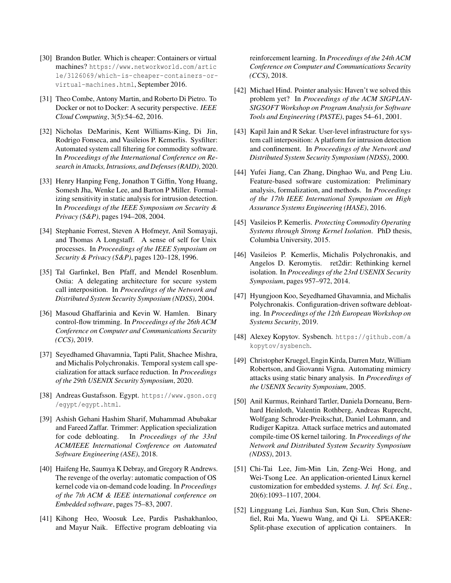- <span id="page-13-0"></span>[30] Brandon Butler. Which is cheaper: Containers or virtual machines? [https://www.networkworld.com/artic](https://www.networkworld.com/article/3126069/which-is-cheaper-containers-or-virtual-machines.html) [le/3126069/which-is-cheaper-containers-or](https://www.networkworld.com/article/3126069/which-is-cheaper-containers-or-virtual-machines.html)[virtual-machines.html](https://www.networkworld.com/article/3126069/which-is-cheaper-containers-or-virtual-machines.html), September 2016.
- <span id="page-13-16"></span>[31] Theo Combe, Antony Martin, and Roberto Di Pietro. To Docker or not to Docker: A security perspective. *IEEE Cloud Computing*, 3(5):54–62, 2016.
- <span id="page-13-18"></span>[32] Nicholas DeMarinis, Kent Williams-King, Di Jin, Rodrigo Fonseca, and Vasileios P. Kemerlis. Sysfilter: Automated system call filtering for commodity software. In *Proceedings of the International Conference on Research in Attacks, Intrusions, and Defenses (RAID)*, 2020.
- <span id="page-13-11"></span>[33] Henry Hanping Feng, Jonathon T Giffin, Yong Huang, Somesh Jha, Wenke Lee, and Barton P Miller. Formalizing sensitivity in static analysis for intrusion detection. In *Proceedings of the IEEE Symposium on Security & Privacy (S&P)*, pages 194–208, 2004.
- [34] Stephanie Forrest, Steven A Hofmeyr, Anil Somayaji, and Thomas A Longstaff. A sense of self for Unix processes. In *Proceedings of the IEEE Symposium on Security & Privacy (S&P)*, pages 120–128, 1996.
- <span id="page-13-12"></span>[35] Tal Garfinkel, Ben Pfaff, and Mendel Rosenblum. Ostia: A delegating architecture for secure system call interposition. In *Proceedings of the Network and Distributed System Security Symposium (NDSS)*, 2004.
- <span id="page-13-17"></span>[36] Masoud Ghaffarinia and Kevin W. Hamlen. Binary control-flow trimming. In *Proceedings of the 26th ACM Conference on Computer and Communications Security (CCS)*, 2019.
- <span id="page-13-19"></span>[37] Seyedhamed Ghavamnia, Tapti Palit, Shachee Mishra, and Michalis Polychronakis. Temporal system call specialization for attack surface reduction. In *Proceedings of the 29th USENIX Security Symposium*, 2020.
- <span id="page-13-8"></span>[38] Andreas Gustafsson. Egypt. [https://www.gson.org](https://www.gson.org/egypt/egypt.html) [/egypt/egypt.html](https://www.gson.org/egypt/egypt.html).
- <span id="page-13-20"></span>[39] Ashish Gehani Hashim Sharif, Muhammad Abubakar and Fareed Zaffar. Trimmer: Application specialization for code debloating. In *Proceedings of the 33rd ACM/IEEE International Conference on Automated Software Engineering (ASE)*, 2018.
- <span id="page-13-1"></span>[40] Haifeng He, Saumya K Debray, and Gregory R Andrews. The revenge of the overlay: automatic compaction of OS kernel code via on-demand code loading. In *Proceedings of the 7th ACM & IEEE international conference on Embedded software*, pages 75–83, 2007.
- <span id="page-13-10"></span>[41] Kihong Heo, Woosuk Lee, Pardis Pashakhanloo, and Mayur Naik. Effective program debloating via

reinforcement learning. In *Proceedings of the 24th ACM Conference on Computer and Communications Security (CCS)*, 2018.

- <span id="page-13-7"></span>[42] Michael Hind. Pointer analysis: Haven't we solved this problem yet? In *Proceedings of the ACM SIGPLAN-SIGSOFT Workshop on Program Analysis for Software Tools and Engineering (PASTE)*, pages 54–61, 2001.
- <span id="page-13-13"></span>[43] Kapil Jain and R Sekar. User-level infrastructure for system call interposition: A platform for intrusion detection and confinement. In *Proceedings of the Network and Distributed System Security Symposium (NDSS)*, 2000.
- <span id="page-13-21"></span>[44] Yufei Jiang, Can Zhang, Dinghao Wu, and Peng Liu. Feature-based software customization: Preliminary analysis, formalization, and methods. In *Proceedings of the 17th IEEE International Symposium on High Assurance Systems Engineering (HASE)*, 2016.
- <span id="page-13-5"></span>[45] Vasileios P. Kemerlis. *Protecting Commodity Operating Systems through Strong Kernel Isolation*. PhD thesis, Columbia University, 2015.
- <span id="page-13-6"></span>[46] Vasileios P. Kemerlis, Michalis Polychronakis, and Angelos D. Keromytis. ret2dir: Rethinking kernel isolation. In *Proceedings of the 23rd USENIX Security Symposium*, pages 957–972, 2014.
- <span id="page-13-4"></span>[47] Hyungjoon Koo, Seyedhamed Ghavamnia, and Michalis Polychronakis. Configuration-driven software debloating. In *Proceedings of the 12th European Workshop on Systems Security*, 2019.
- <span id="page-13-9"></span>[48] Alexey Kopytov. Sysbench. [https://github.com/a](https://github.com/akopytov/sysbench) [kopytov/sysbench](https://github.com/akopytov/sysbench).
- <span id="page-13-14"></span>[49] Christopher Kruegel, Engin Kirda, Darren Mutz,William Robertson, and Giovanni Vigna. Automating mimicry attacks using static binary analysis. In *Proceedings of the USENIX Security Symposium*, 2005.
- <span id="page-13-2"></span>[50] Anil Kurmus, Reinhard Tartler, Daniela Dorneanu, Bernhard Heinloth, Valentin Rothberg, Andreas Ruprecht, Wolfgang Schroder-Preikschat, Daniel Lohmann, and Rudiger Kapitza. Attack surface metrics and automated compile-time OS kernel tailoring. In *Proceedings of the Network and Distributed System Security Symposium (NDSS)*, 2013.
- <span id="page-13-3"></span>[51] Chi-Tai Lee, Jim-Min Lin, Zeng-Wei Hong, and Wei-Tsong Lee. An application-oriented Linux kernel customization for embedded systems. *J. Inf. Sci. Eng.*, 20(6):1093–1107, 2004.
- <span id="page-13-15"></span>[52] Lingguang Lei, Jianhua Sun, Kun Sun, Chris Shenefiel, Rui Ma, Yuewu Wang, and Qi Li. SPEAKER: Split-phase execution of application containers. In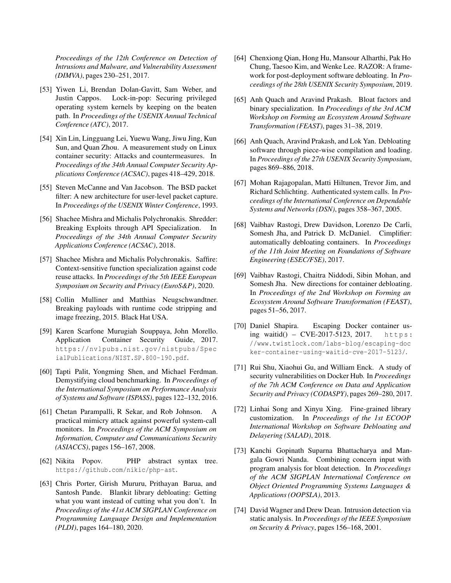*Proceedings of the 12th Conference on Detection of Intrusions and Malware, and Vulnerability Assessment (DIMVA)*, pages 230–251, 2017.

- <span id="page-14-8"></span>[53] Yiwen Li, Brendan Dolan-Gavitt, Sam Weber, and Justin Cappos. Lock-in-pop: Securing privileged operating system kernels by keeping on the beaten path. In *Proceedings of the USENIX Annual Technical Conference (ATC)*, 2017.
- <span id="page-14-11"></span>[54] Xin Lin, Lingguang Lei, Yuewu Wang, Jiwu Jing, Kun Sun, and Quan Zhou. A measurement study on Linux container security: Attacks and countermeasures. In *Proceedings of the 34th Annual Computer Security Applications Conference (ACSAC)*, pages 418–429, 2018.
- <span id="page-14-7"></span>[55] Steven McCanne and Van Jacobson. The BSD packet filter: A new architecture for user-level packet capture. In *Proceedings of the USENIX Winter Conference*, 1993.
- <span id="page-14-1"></span>[56] Shachee Mishra and Michalis Polychronakis. Shredder: Breaking Exploits through API Specialization. In *Proceedings of the 34th Annual Computer Security Applications Conference (ACSAC)*, 2018.
- <span id="page-14-19"></span>[57] Shachee Mishra and Michalis Polychronakis. Saffire: Context-sensitive function specialization against code reuse attacks. In *Proceedings of the 5th IEEE European Symposium on Security and Privacy (EuroS&P)*, 2020.
- <span id="page-14-2"></span>[58] Collin Mulliner and Matthias Neugschwandtner. Breaking payloads with runtime code stripping and image freezing, 2015. Black Hat USA.
- <span id="page-14-6"></span>[59] Karen Scarfone Murugiah Souppaya, John Morello. Application Container Security Guide, 2017. [https://nvlpubs.nist.gov/nistpubs/Spec](https://nvlpubs.nist.gov/nistpubs/SpecialPublications/NIST.SP.800-190.pdf) [ialPublications/NIST.SP.800-190.pdf](https://nvlpubs.nist.gov/nistpubs/SpecialPublications/NIST.SP.800-190.pdf).
- <span id="page-14-10"></span>[60] Tapti Palit, Yongming Shen, and Michael Ferdman. Demystifying cloud benchmarking. In *Proceedings of the International Symposium on Performance Analysis of Systems and Software (ISPASS)*, pages 122–132, 2016.
- <span id="page-14-13"></span>[61] Chetan Parampalli, R Sekar, and Rob Johnson. A practical mimicry attack against powerful system-call monitors. In *Proceedings of the ACM Symposium on Information, Computer and Communications Security (ASIACCS)*, pages 156–167, 2008.
- <span id="page-14-12"></span>[62] Nikita Popov. PHP abstract syntax tree. <https://github.com/nikic/php-ast>.
- <span id="page-14-17"></span>[63] Chris Porter, Girish Mururu, Prithayan Barua, and Santosh Pande. Blankit library debloating: Getting what you want instead of cutting what you don't. In *Proceedings of the 41st ACM SIGPLAN Conference on Programming Language Design and Implementation (PLDI)*, pages 164–180, 2020.
- <span id="page-14-20"></span>[64] Chenxiong Qian, Hong Hu, Mansour Alharthi, Pak Ho Chung, Taesoo Kim, and Wenke Lee. RAZOR: A framework for post-deployment software debloating. In *Proceedings of the 28th USENIX Security Symposium*, 2019.
- <span id="page-14-9"></span>[65] Anh Quach and Aravind Prakash. Bloat factors and binary specialization. In *Proceedings of the 3rd ACM Workshop on Forming an Ecosystem Around Software Transformation (FEAST)*, pages 31–38, 2019.
- <span id="page-14-3"></span>[66] Anh Quach, Aravind Prakash, and Lok Yan. Debloating software through piece-wise compilation and loading. In *Proceedings of the 27th USENIX Security Symposium*, pages 869–886, 2018.
- <span id="page-14-14"></span>[67] Mohan Rajagopalan, Matti Hiltunen, Trevor Jim, and Richard Schlichting. Authenticated system calls. In *Proceedings of the International Conference on Dependable Systems and Networks (DSN)*, pages 358–367, 2005.
- <span id="page-14-4"></span>[68] Vaibhav Rastogi, Drew Davidson, Lorenzo De Carli, Somesh Jha, and Patrick D. McDaniel. Cimplifier: automatically debloating containers. In *Proceedings of the 11th Joint Meeting on Foundations of Software Engineering (ESEC/FSE)*, 2017.
- <span id="page-14-5"></span>[69] Vaibhav Rastogi, Chaitra Niddodi, Sibin Mohan, and Somesh Jha. New directions for container debloating. In *Proceedings of the 2nd Workshop on Forming an Ecosystem Around Software Transformation (FEAST)*, pages 51–56, 2017.
- <span id="page-14-0"></span>[70] Daniel Shapira. Escaping Docker container using waitid() –  $CVE-2017-5123$ , 2017. https: [//www.twistlock.com/labs-blog/escaping-doc](https://www.twistlock.com/labs-blog/escaping-docker-container-using-waitid-cve-2017-5123/) [ker-container-using-waitid-cve-2017-5123/](https://www.twistlock.com/labs-blog/escaping-docker-container-using-waitid-cve-2017-5123/).
- <span id="page-14-16"></span>[71] Rui Shu, Xiaohui Gu, and William Enck. A study of security vulnerabilities on Docker Hub. In *Proceedings of the 7th ACM Conference on Data and Application Security and Privacy (CODASPY)*, pages 269–280, 2017.
- <span id="page-14-18"></span>[72] Linhai Song and Xinyu Xing. Fine-grained library customization. In *Proceedings of the 1st ECOOP International Workshop on Software Debloating and Delayering (SALAD)*, 2018.
- <span id="page-14-21"></span>[73] Kanchi Gopinath Suparna Bhattacharya and Mangala Gowri Nanda. Combining concern input with program analysis for bloat detection. In *Proceedings of the ACM SIGPLAN International Conference on Object Oriented Programming Systems Languages & Applications (OOPSLA)*, 2013.
- <span id="page-14-15"></span>[74] David Wagner and Drew Dean. Intrusion detection via static analysis. In *Proceedings of the IEEE Symposium on Security & Privacy*, pages 156–168, 2001.